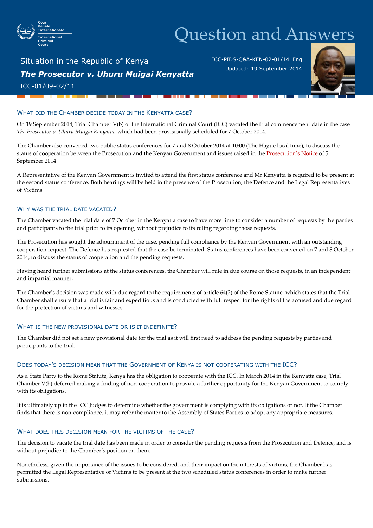

# Question and Answers

## Situation in the Republic of Kenya *The Prosecutor v. Uhuru Muigai Kenyatta* ICC-01/09-02/11

ICC-PIDS-Q&A-KEN-02-01/14\_Eng Updated: 19 September 2014



### WHAT DID THE CHAMBER DECIDE TODAY IN THE KENYATTA CASE?

On 19 September 2014, Trial Chamber V(b) of the International Criminal Court (ICC) vacated the trial commencement date in the case *The Prosecutor v. Uhuru Muigai Kenyatta*, which had been provisionally scheduled for 7 October 2014.

The Chamber also convened two public status conferences for 7 and 8 October 2014 at 10:00 (The Hague local time), to discuss the status of cooperation between the Prosecution and the Kenyan Government and issues raised in the [Prosecution's Not](http://www.icc-cpi.int/en_menus/icc/situations%20and%20cases/situations/situation%20icc%200109/related%20cases/icc01090211/court%20records/filing%20of%20the%20participants/office%20of%20the%20prosecutor/Pages/944.aspx)ice of 5 September 2014.

A Representative of the Kenyan Government is invited to attend the first status conference and Mr Kenyatta is required to be present at the second status conference. Both hearings will be held in the presence of the Prosecution, the Defence and the Legal Representatives of Victims.

#### WHY WAS THE TRIAL DATE VACATED?

The Chamber vacated the trial date of 7 October in the Kenyatta case to have more time to consider a number of requests by the parties and participants to the trial prior to its opening, without prejudice to its ruling regarding those requests.

The Prosecution has sought the adjournment of the case, pending full compliance by the Kenyan Government with an outstanding cooperation request. The Defence has requested that the case be terminated. Status conferences have been convened on 7 and 8 October 2014, to discuss the status of cooperation and the pending requests.

Having heard further submissions at the status conferences, the Chamber will rule in due course on those requests, in an independent and impartial manner.

The Chamber's decision was made with due regard to the requirements of article 64(2) of the Rome Statute, which states that the Trial Chamber shall ensure that a trial is fair and expeditious and is conducted with full respect for the rights of the accused and due regard for the protection of victims and witnesses.

#### WHAT IS THE NEW PROVISIONAL DATE OR IS IT INDEFINITE?

The Chamber did not set a new provisional date for the trial as it will first need to address the pending requests by parties and participants to the trial.

#### DOES TODAY'S DECISION MEAN THAT THE GOVERNMENT OF KENYA IS NOT COOPERATING WITH THE ICC?

As a State Party to the Rome Statute, Kenya has the obligation to cooperate with the ICC. In March 2014 in the Kenyatta case, Trial Chamber V(b) deferred making a finding of non-cooperation to provide a further opportunity for the Kenyan Government to comply with its obligations.

It is ultimately up to the ICC Judges to determine whether the government is complying with its obligations or not. If the Chamber finds that there is non-compliance, it may refer the matter to the Assembly of States Parties to adopt any appropriate measures.

#### WHAT DOES THIS DECISION MEAN FOR THE VICTIMS OF THE CASE?

The decision to vacate the trial date has been made in order to consider the pending requests from the Prosecution and Defence, and is without prejudice to the Chamber's position on them.

Nonetheless, given the importance of the issues to be considered, and their impact on the interests of victims, the Chamber has permitted the Legal Representative of Victims to be present at the two scheduled status conferences in order to make further submissions.